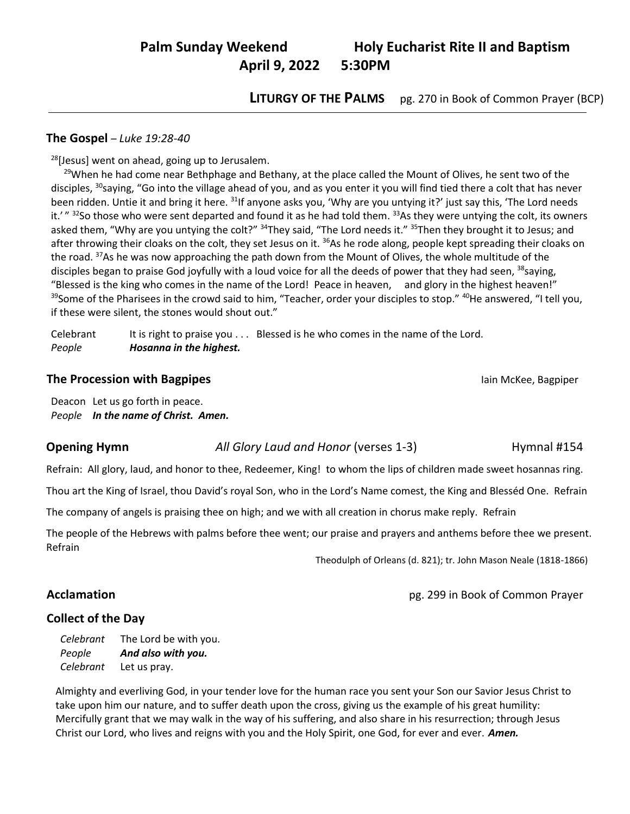# **Palm Sunday Weekend Holy Eucharist Rite II and Baptism April 9, 2022 5:30PM**

**LITURGY OF THE PALMS** pg. 270 in Book of Common Prayer (BCP)

### **The Gospel** – *Luke 19:28-40*

 $\overline{a}$ 

 $28$ [Jesus] went on ahead, going up to Jerusalem.

<sup>29</sup>When he had come near Bethphage and Bethany, at the place called the Mount of Olives, he sent two of the disciples, <sup>30</sup>saying, "Go into the village ahead of you, and as you enter it you will find tied there a colt that has never been ridden. Untie it and bring it here. <sup>31</sup>If anyone asks you, 'Why are you untying it?' just say this, 'The Lord needs it.' " <sup>32</sup>So those who were sent departed and found it as he had told them. <sup>33</sup>As they were untying the colt, its owners asked them, "Why are you untying the colt?" <sup>34</sup>They said, "The Lord needs it." <sup>35</sup>Then they brought it to Jesus; and after throwing their cloaks on the colt, they set Jesus on it. <sup>36</sup>As he rode along, people kept spreading their cloaks on the road. <sup>37</sup>As he was now approaching the path down from the Mount of Olives, the whole multitude of the disciples began to praise God joyfully with a loud voice for all the deeds of power that they had seen, <sup>38</sup>saying, "Blessed is the king who comes in the name of the Lord! Peace in heaven, and glory in the highest heaven!" <sup>39</sup>Some of the Pharisees in the crowd said to him, "Teacher, order your disciples to stop." <sup>40</sup>He answered, "I tell you, if these were silent, the stones would shout out."

Celebrant It is right to praise you . . . Blessed is he who comes in the name of the Lord. *People Hosanna in the highest.*

#### **The Procession with Bagpipes Intervention Controllering Controllering Controllering Controllering Controllering Controllering Controllering Controllering Controllering Controllering Controllering Controllering Controlle**

Deacon Let us go forth in peace. *People In the name of Christ. Amen.*

#### **Opening Hymn** *All Glory Laud and Honor* (verses 1-3) Hymnal #154

Refrain: All glory, laud, and honor to thee, Redeemer, King! to whom the lips of children made sweet hosannas ring.

Thou art the King of Israel, thou David's royal Son, who in the Lord's Name comest, the King and Blesséd One. Refrain

The company of angels is praising thee on high; and we with all creation in chorus make reply. Refrain

The people of the Hebrews with palms before thee went; our praise and prayers and anthems before thee we present. Refrain

Theodulph of Orleans (d. 821); tr. John Mason Neale (1818-1866)

## **Acclamation Acclamation pg. 299 in Book of Common Prayer**

## **Collect of the Day**

*Celebrant* The Lord be with you. *People And also with you. Celebrant* Let us pray.

Almighty and everliving God, in your tender love for the human race you sent your Son our Savior Jesus Christ to take upon him our nature, and to suffer death upon the cross, giving us the example of his great humility: Mercifully grant that we may walk in the way of his suffering, and also share in his resurrection; through Jesus Christ our Lord, who lives and reigns with you and the Holy Spirit, one God, for ever and ever. *Amen.*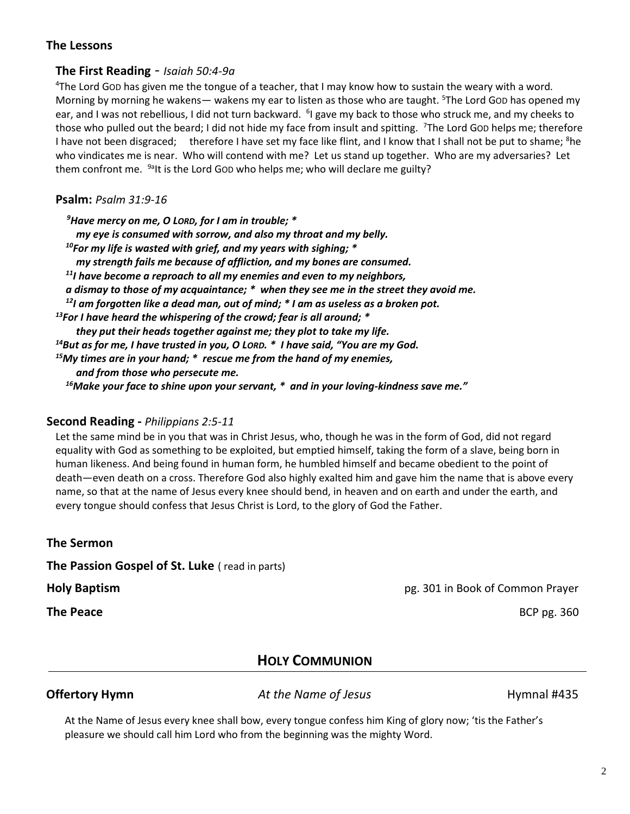## **The Lessons**

## **The First Reading** - *Isaiah 50:4-9a*

<sup>4</sup>The Lord GOD has given me the tongue of a teacher, that I may know how to sustain the weary with a word. Morning by morning he wakens— wakens my ear to listen as those who are taught. <sup>5</sup>The Lord Gob has opened my ear, and I was not rebellious, I did not turn backward. <sup>6</sup>I gave my back to those who struck me, and my cheeks to those who pulled out the beard; I did not hide my face from insult and spitting. <sup>7</sup>The Lord GoD helps me; therefore I have not been disgraced; therefore I have set my face like flint, and I know that I shall not be put to shame; <sup>8</sup>he who vindicates me is near. Who will contend with me? Let us stand up together. Who are my adversaries? Let them confront me.  $9a$ It is the Lord GoD who helps me; who will declare me guilty?

### **Psalm:** *Psalm 31:9-16*

*Have mercy on me, O LORD, for I am in trouble; \* my eye is consumed with sorrow, and also my throat and my belly. For my life is wasted with grief, and my years with sighing; \* my strength fails me because of affliction, and my bones are consumed. I have become a reproach to all my enemies and even to my neighbors, a dismay to those of my acquaintance; \* when they see me in the street they avoid me. I am forgotten like a dead man, out of mind; \* I am as useless as a broken pot. For I have heard the whispering of the crowd; fear is all around; \* they put their heads together against me; they plot to take my life. But as for me, I have trusted in you, O LORD. \* I have said, "You are my God. My times are in your hand; \* rescue me from the hand of my enemies, and from those who persecute me. Make your face to shine upon your servant, \* and in your loving-kindness save me."*

## **Second Reading -** *Philippians 2:5-11*

Let the same mind be in you that was in Christ Jesus, who, though he was in the form of God, did not regard equality with God as something to be exploited, but emptied himself, taking the form of a slave, being born in human likeness. And being found in human form, he humbled himself and became obedient to the point of death—even death on a cross. Therefore God also highly exalted him and gave him the name that is above every name, so that at the name of Jesus every knee should bend, in heaven and on earth and under the earth, and every tongue should confess that Jesus Christ is Lord, to the glory of God the Father.

**The Sermon**

**The Passion Gospel of St. Luke** ( read in parts)

**The Peace** BCP pg. 360

**Holy Baptism** pg. 301 in Book of Common Prayer

## **HOLY COMMUNION**

**Offertory Hymn** *At the Name of Jesus* **<b>Hymnal #435** 

At the Name of Jesus every knee shall bow, every tongue confess him King of glory now; 'tis the Father's pleasure we should call him Lord who from the beginning was the mighty Word.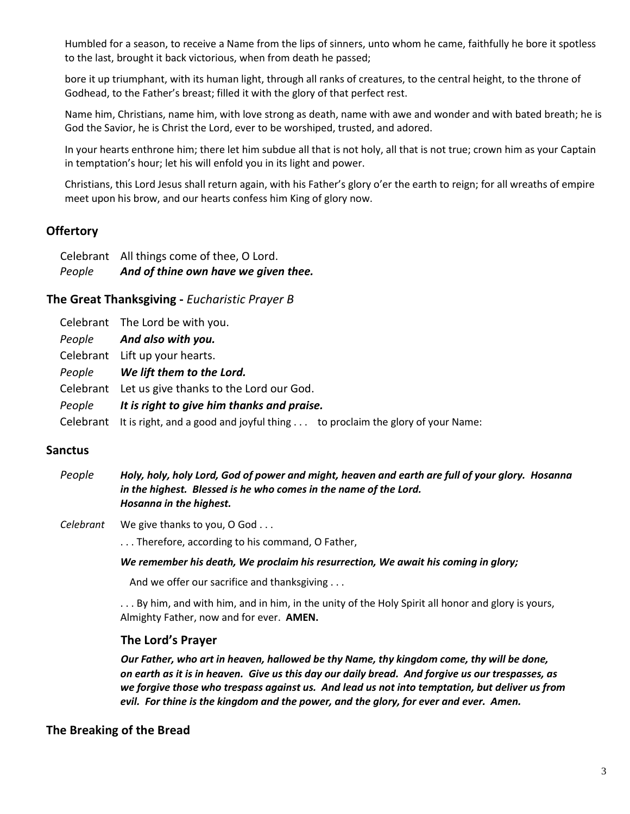Humbled for a season, to receive a Name from the lips of sinners, unto whom he came, faithfully he bore it spotless to the last, brought it back victorious, when from death he passed;

bore it up triumphant, with its human light, through all ranks of creatures, to the central height, to the throne of Godhead, to the Father's breast; filled it with the glory of that perfect rest.

Name him, Christians, name him, with love strong as death, name with awe and wonder and with bated breath; he is God the Savior, he is Christ the Lord, ever to be worshiped, trusted, and adored.

In your hearts enthrone him; there let him subdue all that is not holy, all that is not true; crown him as your Captain in temptation's hour; let his will enfold you in its light and power.

Christians, this Lord Jesus shall return again, with his Father's glory o'er the earth to reign; for all wreaths of empire meet upon his brow, and our hearts confess him King of glory now.

## **Offertory**

| People | And of thine own have we given thee.       |
|--------|--------------------------------------------|
|        | Celebrant All things come of thee, O Lord. |

## **The Great Thanksgiving -** *Eucharistic Prayer B*

|        | Celebrant The Lord be with you.                                                        |
|--------|----------------------------------------------------------------------------------------|
|        | People And also with you.                                                              |
|        | Celebrant Lift up your hearts.                                                         |
|        | People We lift them to the Lord.                                                       |
|        | Celebrant Let us give thanks to the Lord our God.                                      |
| People | It is right to give him thanks and praise.                                             |
|        | Celebrant It is right, and a good and joyful thing to proclaim the glory of your Name: |

## **Sanctus**

*People Holy, holy, holy Lord, God of power and might, heaven and earth are full of your glory. Hosanna in the highest. Blessed is he who comes in the name of the Lord. Hosanna in the highest.*

*Celebrant* We give thanks to you, O God . . .

. . . Therefore, according to his command, O Father,

*We remember his death, We proclaim his resurrection, We await his coming in glory;*

And we offer our sacrifice and thanksgiving . . .

. . . By him, and with him, and in him, in the unity of the Holy Spirit all honor and glory is yours, Almighty Father, now and for ever. **AMEN.**

## **The Lord's Prayer**

*Our Father, who art in heaven, hallowed be thy Name, thy kingdom come, thy will be done, on earth as it is in heaven. Give us this day our daily bread. And forgive us our trespasses, as we forgive those who trespass against us. And lead us not into temptation, but deliver us from evil. For thine is the kingdom and the power, and the glory, for ever and ever. Amen.*

## **The Breaking of the Bread**